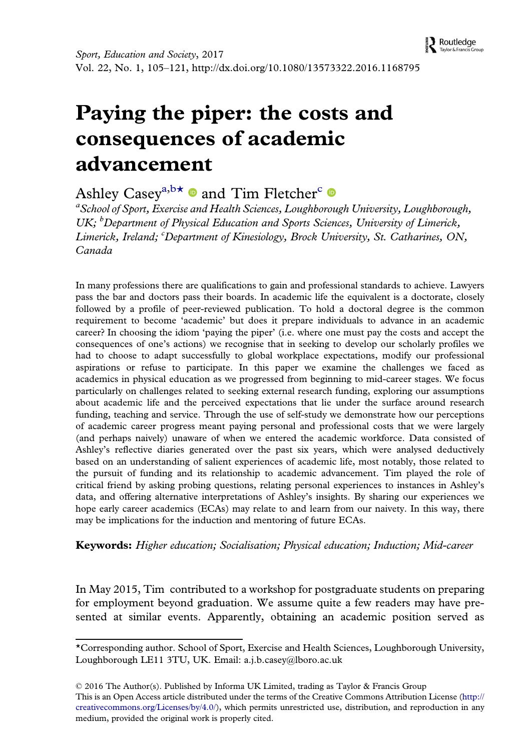Routledge Taylor & Francis

# Paying the piper: the costs and consequences of academic advancement

Ashley Casev<sup>a, b  $\star \bullet$ </sup> and Tim Fletcher<sup>c</sup>

<sup>a</sup> School of Sport, Exercise and Health Sciences, Loughborough University, Loughborough, UK; <sup>b</sup>Department of Physical Education and Sports Sciences, University of Limerick, Limerick, Ireland; <sup>c</sup>Department of Kinesiology, Brock University, St. Catharines, ON, Canada

In many professions there are qualifications to gain and professional standards to achieve. Lawyers pass the bar and doctors pass their boards. In academic life the equivalent is a doctorate, closely followed by a profile of peer-reviewed publication. To hold a doctoral degree is the common requirement to become 'academic' but does it prepare individuals to advance in an academic career? In choosing the idiom 'paying the piper' (i.e. where one must pay the costs and accept the consequences of one's actions) we recognise that in seeking to develop our scholarly profiles we had to choose to adapt successfully to global workplace expectations, modify our professional aspirations or refuse to participate. In this paper we examine the challenges we faced as academics in physical education as we progressed from beginning to mid-career stages. We focus particularly on challenges related to seeking external research funding, exploring our assumptions about academic life and the perceived expectations that lie under the surface around research funding, teaching and service. Through the use of self-study we demonstrate how our perceptions of academic career progress meant paying personal and professional costs that we were largely (and perhaps naively) unaware of when we entered the academic workforce. Data consisted of Ashley's reflective diaries generated over the past six years, which were analysed deductively based on an understanding of salient experiences of academic life, most notably, those related to the pursuit of funding and its relationship to academic advancement. Tim played the role of critical friend by asking probing questions, relating personal experiences to instances in Ashley's data, and offering alternative interpretations of Ashley's insights. By sharing our experiences we hope early career academics (ECAs) may relate to and learn from our naivety. In this way, there may be implications for the induction and mentoring of future ECAs.

Keywords: Higher education; Socialisation; Physical education; Induction; Mid-career

In May 2015, Tim contributed to a workshop for postgraduate students on preparing for employment beyond graduation. We assume quite a few readers may have presented at similar events. Apparently, obtaining an academic position served as

<sup>\*</sup>Corresponding author. School of Sport, Exercise and Health Sciences, Loughborough University, Loughborough LE11 3TU, UK. Email: [a.j.b.casey@lboro.ac.uk](mailto:a.j.b.casey@lboro.ac.uk)

<sup>© 2016</sup> The Author(s). Published by Informa UK Limited, trading as Taylor & Francis Group This is an Open Access article distributed under the terms of the Creative Commons Attribution License ([http://](http://creativecommons.org/Licenses/by/4.0/) [creativecommons.org/Licenses/by/4.0/](http://creativecommons.org/Licenses/by/4.0/)), which permits unrestricted use, distribution, and reproduction in any medium, provided the original work is properly cited.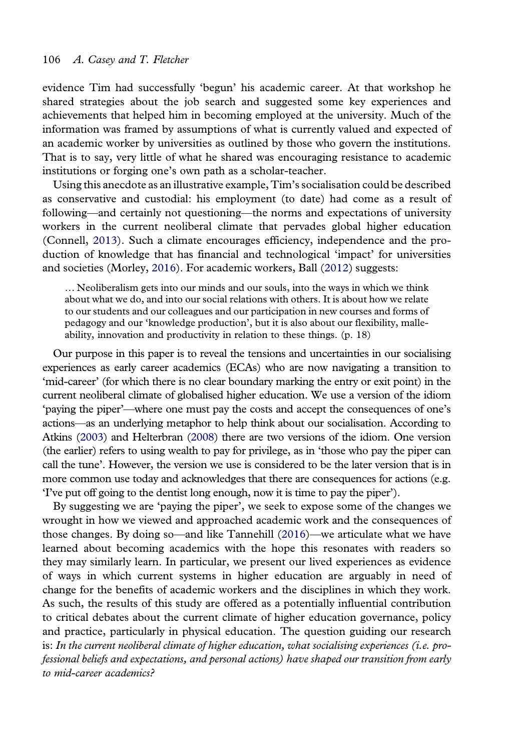<span id="page-1-0"></span>evidence Tim had successfully 'begun' his academic career. At that workshop he shared strategies about the job search and suggested some key experiences and achievements that helped him in becoming employed at the university. Much of the information was framed by assumptions of what is currently valued and expected of an academic worker by universities as outlined by those who govern the institutions. That is to say, very little of what he shared was encouraging resistance to academic institutions or forging one's own path as a scholar-teacher.

Using this anecdote as an illustrative example, Tim's socialisation could be described as conservative and custodial: his employment (to date) had come as a result of following—and certainly not questioning—the norms and expectations of university workers in the current neoliberal climate that pervades global higher education (Connell, [2013\)](#page-15-0). Such a climate encourages efficiency, independence and the production of knowledge that has financial and technological 'impact' for universities and societies (Morley, [2016\)](#page-16-0). For academic workers, Ball ([2012](#page-15-0)) suggests:

… Neoliberalism gets into our minds and our souls, into the ways in which we think about what we do, and into our social relations with others. It is about how we relate to our students and our colleagues and our participation in new courses and forms of pedagogy and our 'knowledge production', but it is also about our flexibility, malleability, innovation and productivity in relation to these things. (p. 18)

Our purpose in this paper is to reveal the tensions and uncertainties in our socialising experiences as early career academics (ECAs) who are now navigating a transition to 'mid-career' (for which there is no clear boundary marking the entry or exit point) in the current neoliberal climate of globalised higher education. We use a version of the idiom 'paying the piper'—where one must pay the costs and accept the consequences of one's actions—as an underlying metaphor to help think about our socialisation. According to Atkins [\(2003\)](#page-15-0) and Helterbran ([2008](#page-15-0)) there are two versions of the idiom. One version (the earlier) refers to using wealth to pay for privilege, as in 'those who pay the piper can call the tune'. However, the version we use is considered to be the later version that is in more common use today and acknowledges that there are consequences for actions (e.g. 'I've put off going to the dentist long enough, now it is time to pay the piper').

By suggesting we are 'paying the piper', we seek to expose some of the changes we wrought in how we viewed and approached academic work and the consequences of those changes. By doing so—and like Tannehill ([2016](#page-16-0))—we articulate what we have learned about becoming academics with the hope this resonates with readers so they may similarly learn. In particular, we present our lived experiences as evidence of ways in which current systems in higher education are arguably in need of change for the benefits of academic workers and the disciplines in which they work. As such, the results of this study are offered as a potentially influential contribution to critical debates about the current climate of higher education governance, policy and practice, particularly in physical education. The question guiding our research is: In the current neoliberal climate of higher education, what socialising experiences (i.e. professional beliefs and expectations, and personal actions) have shaped our transition from early to mid-career academics?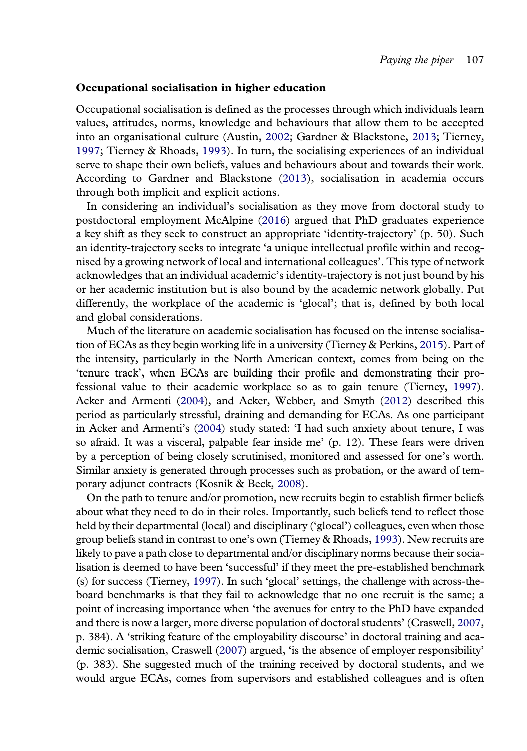## <span id="page-2-0"></span>Occupational socialisation in higher education

Occupational socialisation is defined as the processes through which individuals learn values, attitudes, norms, knowledge and behaviours that allow them to be accepted into an organisational culture (Austin, [2002](#page-15-0); Gardner & Blackstone, [2013;](#page-15-0) Tierney, [1997;](#page-16-0) Tierney & Rhoads, [1993\)](#page-16-0). In turn, the socialising experiences of an individual serve to shape their own beliefs, values and behaviours about and towards their work. According to Gardner and Blackstone ([2013](#page-15-0)), socialisation in academia occurs through both implicit and explicit actions.

In considering an individual's socialisation as they move from doctoral study to postdoctoral employment McAlpine [\(2016\)](#page-16-0) argued that PhD graduates experience a key shift as they seek to construct an appropriate 'identity-trajectory' (p. 50). Such an identity-trajectory seeks to integrate 'a unique intellectual profile within and recognised by a growing network of local and international colleagues'. This type of network acknowledges that an individual academic's identity-trajectory is not just bound by his or her academic institution but is also bound by the academic network globally. Put differently, the workplace of the academic is 'glocal'; that is, defined by both local and global considerations.

Much of the literature on academic socialisation has focused on the intense socialisation of ECAs as they begin working life in a university (Tierney & Perkins, [2015](#page-16-0)). Part of the intensity, particularly in the North American context, comes from being on the 'tenure track', when ECAs are building their profile and demonstrating their professional value to their academic workplace so as to gain tenure (Tierney, [1997\)](#page-16-0). Acker and Armenti ([2004](#page-14-0)), and Acker, Webber, and Smyth [\(2012\)](#page-14-0) described this period as particularly stressful, draining and demanding for ECAs. As one participant in Acker and Armenti's [\(2004](#page-14-0)) study stated: 'I had such anxiety about tenure, I was so afraid. It was a visceral, palpable fear inside me' (p. 12). These fears were driven by a perception of being closely scrutinised, monitored and assessed for one's worth. Similar anxiety is generated through processes such as probation, or the award of temporary adjunct contracts (Kosnik & Beck, [2008\)](#page-16-0).

On the path to tenure and/or promotion, new recruits begin to establish firmer beliefs about what they need to do in their roles. Importantly, such beliefs tend to reflect those held by their departmental (local) and disciplinary ('glocal') colleagues, even when those group beliefs stand in contrast to one's own (Tierney & Rhoads, [1993\)](#page-16-0). New recruits are likely to pave a path close to departmental and/or disciplinary norms because their socialisation is deemed to have been 'successful' if they meet the pre-established benchmark (s) for success (Tierney, [1997\)](#page-16-0). In such 'glocal' settings, the challenge with across-theboard benchmarks is that they fail to acknowledge that no one recruit is the same; a point of increasing importance when 'the avenues for entry to the PhD have expanded and there is now a larger, more diverse population of doctoral students' (Craswell, [2007](#page-15-0), p. 384). A 'striking feature of the employability discourse' in doctoral training and academic socialisation, Craswell [\(2007](#page-15-0)) argued, 'is the absence of employer responsibility' (p. 383). She suggested much of the training received by doctoral students, and we would argue ECAs, comes from supervisors and established colleagues and is often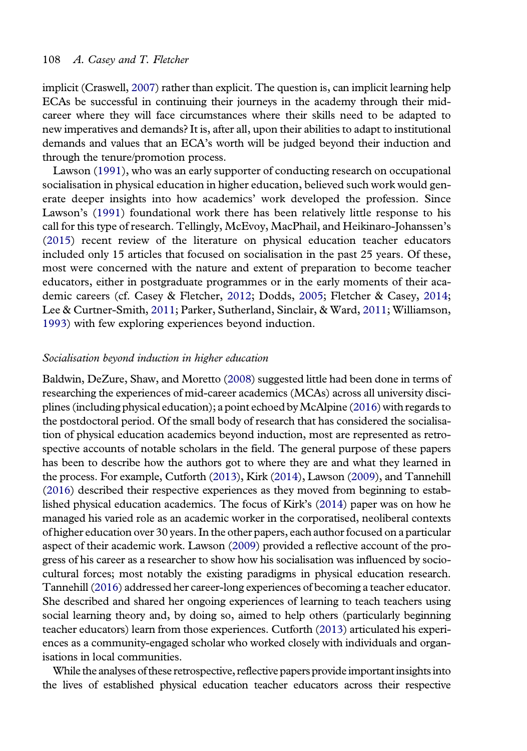<span id="page-3-0"></span>implicit (Craswell, [2007](#page-15-0)) rather than explicit. The question is, can implicit learning help ECAs be successful in continuing their journeys in the academy through their midcareer where they will face circumstances where their skills need to be adapted to new imperatives and demands? It is, after all, upon their abilities to adapt to institutional demands and values that an ECA's worth will be judged beyond their induction and through the tenure/promotion process.

Lawson [\(1991\)](#page-16-0), who was an early supporter of conducting research on occupational socialisation in physical education in higher education, believed such work would generate deeper insights into how academics' work developed the profession. Since Lawson's [\(1991](#page-16-0)) foundational work there has been relatively little response to his call for this type of research. Tellingly, McEvoy, MacPhail, and Heikinaro-Johanssen's ([2015](#page-16-0)) recent review of the literature on physical education teacher educators included only 15 articles that focused on socialisation in the past 25 years. Of these, most were concerned with the nature and extent of preparation to become teacher educators, either in postgraduate programmes or in the early moments of their academic careers (cf. Casey & Fletcher, [2012](#page-15-0); Dodds, [2005;](#page-15-0) Fletcher & Casey, [2014](#page-15-0); Lee & Curtner-Smith, [2011](#page-16-0); Parker, Sutherland, Sinclair, & Ward, [2011](#page-16-0); Williamson, [1993](#page-16-0)) with few exploring experiences beyond induction.

## Socialisation beyond induction in higher education

Baldwin, DeZure, Shaw, and Moretto ([2008](#page-15-0)) suggested little had been done in terms of researching the experiences of mid-career academics (MCAs) across all university disciplines (including physical education); a point echoed byMcAlpine ([2016\)](#page-16-0) with regards to the postdoctoral period. Of the small body of research that has considered the socialisation of physical education academics beyond induction, most are represented as retrospective accounts of notable scholars in the field. The general purpose of these papers has been to describe how the authors got to where they are and what they learned in the process. For example, Cutforth [\(2013](#page-15-0)), Kirk ([2014\)](#page-15-0), Lawson ([2009](#page-16-0)), and Tannehill [\(2016\)](#page-16-0) described their respective experiences as they moved from beginning to established physical education academics. The focus of Kirk's [\(2014](#page-15-0)) paper was on how he managed his varied role as an academic worker in the corporatised, neoliberal contexts of higher education over 30 years. In the other papers, each author focused on a particular aspect of their academic work. Lawson [\(2009\)](#page-16-0) provided a reflective account of the progress of his career as a researcher to show how his socialisation was influenced by sociocultural forces; most notably the existing paradigms in physical education research. Tannehill [\(2016\)](#page-16-0) addressed her career-long experiences of becoming a teacher educator. She described and shared her ongoing experiences of learning to teach teachers using social learning theory and, by doing so, aimed to help others (particularly beginning teacher educators) learn from those experiences. Cutforth ([2013](#page-15-0)) articulated his experiences as a community-engaged scholar who worked closely with individuals and organisations in local communities.

While the analyses of these retrospective, reflective papers provide important insights into the lives of established physical education teacher educators across their respective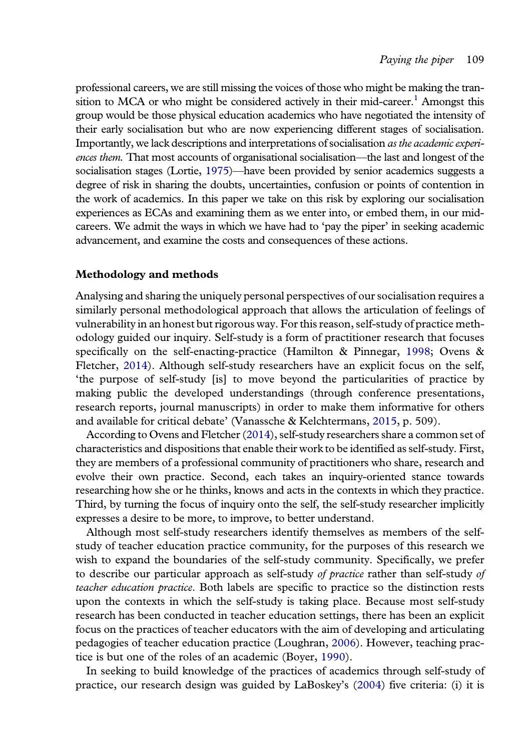<span id="page-4-0"></span>professional careers, we are still missing the voices of those who might be making the transition to MCA or who might be considered actively in their mid-career.<sup>1</sup> Amongst this group would be those physical education academics who have negotiated the intensity of their early socialisation but who are now experiencing different stages of socialisation. Importantly, we lack descriptions and interpretations of socialisation as the academic experiences them. That most accounts of organisational socialisation—the last and longest of the socialisation stages (Lortie, [1975](#page-16-0))—have been provided by senior academics suggests a degree of risk in sharing the doubts, uncertainties, confusion or points of contention in the work of academics. In this paper we take on this risk by exploring our socialisation experiences as ECAs and examining them as we enter into, or embed them, in our midcareers. We admit the ways in which we have had to 'pay the piper' in seeking academic advancement, and examine the costs and consequences of these actions.

## Methodology and methods

Analysing and sharing the uniquely personal perspectives of our socialisation requires a similarly personal methodological approach that allows the articulation of feelings of vulnerability in an honest but rigorous way. For this reason, self-study of practice methodology guided our inquiry. Self-study is a form of practitioner research that focuses specifically on the self-enacting-practice (Hamilton & Pinnegar, [1998;](#page-15-0) Ovens & Fletcher, [2014](#page-16-0)). Although self-study researchers have an explicit focus on the self, 'the purpose of self-study [is] to move beyond the particularities of practice by making public the developed understandings (through conference presentations, research reports, journal manuscripts) in order to make them informative for others and available for critical debate' (Vanassche & Kelchtermans, [2015,](#page-16-0) p. 509).

According to Ovens and Fletcher ([2014\)](#page-16-0), self-study researchers share a common set of characteristics and dispositions that enable their work to be identified as self-study. First, they are members of a professional community of practitioners who share, research and evolve their own practice. Second, each takes an inquiry-oriented stance towards researching how she or he thinks, knows and acts in the contexts in which they practice. Third, by turning the focus of inquiry onto the self, the self-study researcher implicitly expresses a desire to be more, to improve, to better understand.

Although most self-study researchers identify themselves as members of the selfstudy of teacher education practice community, for the purposes of this research we wish to expand the boundaries of the self-study community. Specifically, we prefer to describe our particular approach as self-study of practice rather than self-study of teacher education practice. Both labels are specific to practice so the distinction rests upon the contexts in which the self-study is taking place. Because most self-study research has been conducted in teacher education settings, there has been an explicit focus on the practices of teacher educators with the aim of developing and articulating pedagogies of teacher education practice (Loughran, [2006](#page-16-0)). However, teaching practice is but one of the roles of an academic (Boyer, [1990](#page-15-0)).

In seeking to build knowledge of the practices of academics through self-study of practice, our research design was guided by LaBoskey's [\(2004\)](#page-16-0) five criteria: (i) it is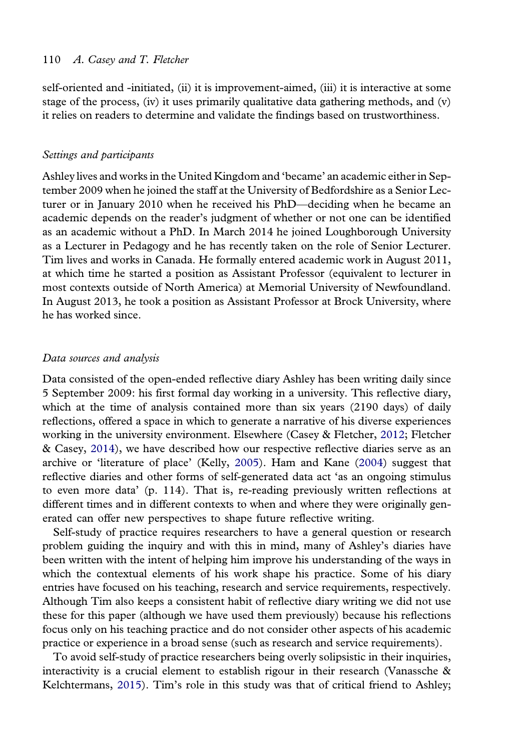<span id="page-5-0"></span>self-oriented and -initiated, (ii) it is improvement-aimed, (iii) it is interactive at some stage of the process, (iv) it uses primarily qualitative data gathering methods, and (v) it relies on readers to determine and validate the findings based on trustworthiness.

#### Settings and participants

Ashley lives and works in the United Kingdom and 'became' an academic either in September 2009 when he joined the staff at the University of Bedfordshire as a Senior Lecturer or in January 2010 when he received his PhD—deciding when he became an academic depends on the reader's judgment of whether or not one can be identified as an academic without a PhD. In March 2014 he joined Loughborough University as a Lecturer in Pedagogy and he has recently taken on the role of Senior Lecturer. Tim lives and works in Canada. He formally entered academic work in August 2011, at which time he started a position as Assistant Professor (equivalent to lecturer in most contexts outside of North America) at Memorial University of Newfoundland. In August 2013, he took a position as Assistant Professor at Brock University, where he has worked since.

## Data sources and analysis

Data consisted of the open-ended reflective diary Ashley has been writing daily since 5 September 2009: his first formal day working in a university. This reflective diary, which at the time of analysis contained more than six years (2190 days) of daily reflections, offered a space in which to generate a narrative of his diverse experiences working in the university environment. Elsewhere (Casey & Fletcher, [2012;](#page-15-0) Fletcher & Casey, [2014](#page-15-0)), we have described how our respective reflective diaries serve as an archive or 'literature of place' (Kelly, [2005](#page-15-0)). Ham and Kane ([2004\)](#page-15-0) suggest that reflective diaries and other forms of self-generated data act 'as an ongoing stimulus to even more data' (p. 114). That is, re-reading previously written reflections at different times and in different contexts to when and where they were originally generated can offer new perspectives to shape future reflective writing.

Self-study of practice requires researchers to have a general question or research problem guiding the inquiry and with this in mind, many of Ashley's diaries have been written with the intent of helping him improve his understanding of the ways in which the contextual elements of his work shape his practice. Some of his diary entries have focused on his teaching, research and service requirements, respectively. Although Tim also keeps a consistent habit of reflective diary writing we did not use these for this paper (although we have used them previously) because his reflections focus only on his teaching practice and do not consider other aspects of his academic practice or experience in a broad sense (such as research and service requirements).

To avoid self-study of practice researchers being overly solipsistic in their inquiries, interactivity is a crucial element to establish rigour in their research (Vanassche  $\&$ Kelchtermans, [2015](#page-16-0)). Tim's role in this study was that of critical friend to Ashley;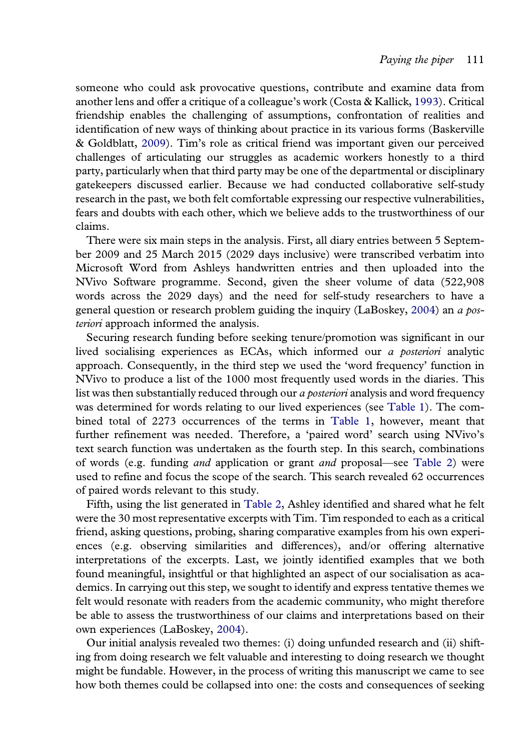<span id="page-6-0"></span>someone who could ask provocative questions, contribute and examine data from another lens and offer a critique of a colleague's work (Costa & Kallick, [1993\)](#page-15-0). Critical friendship enables the challenging of assumptions, confrontation of realities and identification of new ways of thinking about practice in its various forms (Baskerville & Goldblatt, [2009](#page-15-0)). Tim's role as critical friend was important given our perceived challenges of articulating our struggles as academic workers honestly to a third party, particularly when that third party may be one of the departmental or disciplinary gatekeepers discussed earlier. Because we had conducted collaborative self-study research in the past, we both felt comfortable expressing our respective vulnerabilities, fears and doubts with each other, which we believe adds to the trustworthiness of our claims.

There were six main steps in the analysis. First, all diary entries between 5 September 2009 and 25 March 2015 (2029 days inclusive) were transcribed verbatim into Microsoft Word from Ashleys handwritten entries and then uploaded into the NVivo Software programme. Second, given the sheer volume of data (522,908 words across the 2029 days) and the need for self-study researchers to have a general question or research problem guiding the inquiry (LaBoskey, [2004\)](#page-16-0) an  $\alpha$  posteriori approach informed the analysis.

Securing research funding before seeking tenure/promotion was significant in our lived socialising experiences as ECAs, which informed our a posteriori analytic approach. Consequently, in the third step we used the 'word frequency' function in NVivo to produce a list of the 1000 most frequently used words in the diaries. This list was then substantially reduced through our *a posteriori* analysis and word frequency was determined for words relating to our lived experiences (see [Table 1\)](#page-7-0). The combined total of 2273 occurrences of the terms in [Table 1](#page-7-0), however, meant that further refinement was needed. Therefore, a 'paired word' search using NVivo's text search function was undertaken as the fourth step. In this search, combinations of words (e.g. funding and application or grant and proposal—see [Table 2\)](#page-7-0) were used to refine and focus the scope of the search. This search revealed 62 occurrences of paired words relevant to this study.

Fifth, using the list generated in [Table 2](#page-7-0), Ashley identified and shared what he felt were the 30 most representative excerpts with Tim. Tim responded to each as a critical friend, asking questions, probing, sharing comparative examples from his own experiences (e.g. observing similarities and differences), and/or offering alternative interpretations of the excerpts. Last, we jointly identified examples that we both found meaningful, insightful or that highlighted an aspect of our socialisation as academics. In carrying out this step, we sought to identify and express tentative themes we felt would resonate with readers from the academic community, who might therefore be able to assess the trustworthiness of our claims and interpretations based on their own experiences (LaBoskey, [2004\)](#page-16-0).

Our initial analysis revealed two themes: (i) doing unfunded research and (ii) shifting from doing research we felt valuable and interesting to doing research we thought might be fundable. However, in the process of writing this manuscript we came to see how both themes could be collapsed into one: the costs and consequences of seeking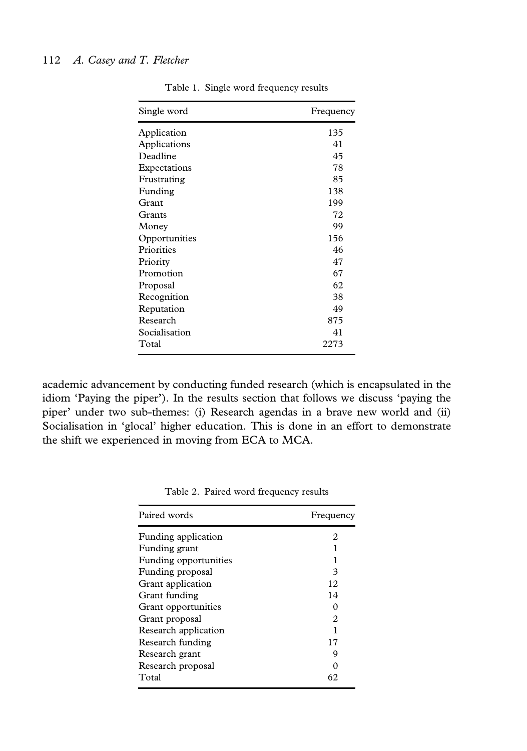<span id="page-7-0"></span>

| Single word   | Frequency |
|---------------|-----------|
| Application   | 135       |
| Applications  | 41        |
| Deadline      | 45        |
| Expectations  | 78        |
| Frustrating   | 85        |
| Funding       | 138       |
| Grant         | 199       |
| Grants        | 72        |
| Money         | 99        |
| Opportunities | 156       |
| Priorities    | 46        |
| Priority      | 47        |
| Promotion     | 67        |
| Proposal      | 62        |
| Recognition   | 38        |
| Reputation    | 49        |
| Research      | 875       |
| Socialisation | 41        |
| Total         | 2273      |
|               |           |

Table 1. Single word frequency results

academic advancement by conducting funded research (which is encapsulated in the idiom 'Paying the piper'). In the results section that follows we discuss 'paying the piper' under two sub-themes: (i) Research agendas in a brave new world and (ii) Socialisation in 'glocal' higher education. This is done in an effort to demonstrate the shift we experienced in moving from ECA to MCA.

| Paired words          | Frequency      |
|-----------------------|----------------|
| Funding application   | 2              |
| Funding grant         |                |
| Funding opportunities | 1              |
| Funding proposal      | 3              |
| Grant application     | 12             |
| Grant funding         | 14             |
| Grant opportunities   | 0              |
| Grant proposal        | $\mathfrak{D}$ |
| Research application  | 1              |
| Research funding      | 17             |
| Research grant        | 9              |
| Research proposal     |                |
| Total                 | 62             |

Table 2. Paired word frequency results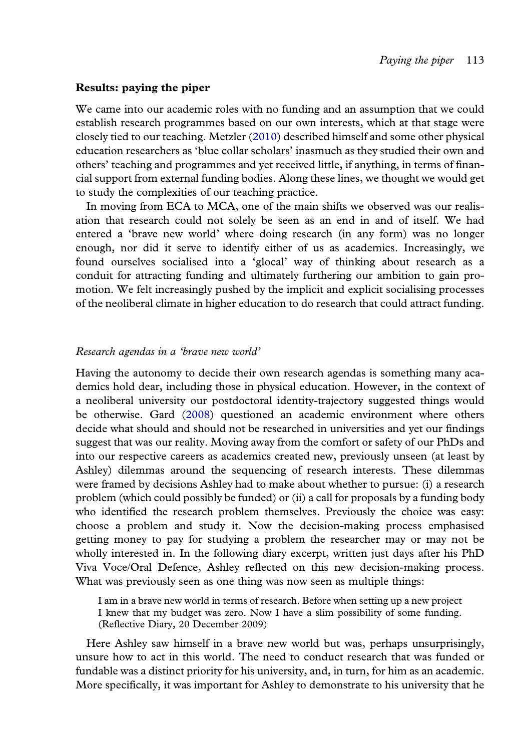## <span id="page-8-0"></span>Results: paying the piper

We came into our academic roles with no funding and an assumption that we could establish research programmes based on our own interests, which at that stage were closely tied to our teaching. Metzler ([2010](#page-16-0)) described himself and some other physical education researchers as 'blue collar scholars' inasmuch as they studied their own and others' teaching and programmes and yet received little, if anything, in terms of financial support from external funding bodies. Along these lines, we thought we would get to study the complexities of our teaching practice.

In moving from ECA to MCA, one of the main shifts we observed was our realisation that research could not solely be seen as an end in and of itself. We had entered a 'brave new world' where doing research (in any form) was no longer enough, nor did it serve to identify either of us as academics. Increasingly, we found ourselves socialised into a 'glocal' way of thinking about research as a conduit for attracting funding and ultimately furthering our ambition to gain promotion. We felt increasingly pushed by the implicit and explicit socialising processes of the neoliberal climate in higher education to do research that could attract funding.

#### Research agendas in a 'brave new world'

Having the autonomy to decide their own research agendas is something many academics hold dear, including those in physical education. However, in the context of a neoliberal university our postdoctoral identity-trajectory suggested things would be otherwise. Gard ([2008\)](#page-15-0) questioned an academic environment where others decide what should and should not be researched in universities and yet our findings suggest that was our reality. Moving away from the comfort or safety of our PhDs and into our respective careers as academics created new, previously unseen (at least by Ashley) dilemmas around the sequencing of research interests. These dilemmas were framed by decisions Ashley had to make about whether to pursue: (i) a research problem (which could possibly be funded) or (ii) a call for proposals by a funding body who identified the research problem themselves. Previously the choice was easy: choose a problem and study it. Now the decision-making process emphasised getting money to pay for studying a problem the researcher may or may not be wholly interested in. In the following diary excerpt, written just days after his PhD Viva Voce/Oral Defence, Ashley reflected on this new decision-making process. What was previously seen as one thing was now seen as multiple things:

I am in a brave new world in terms of research. Before when setting up a new project I knew that my budget was zero. Now I have a slim possibility of some funding. (Reflective Diary, 20 December 2009)

Here Ashley saw himself in a brave new world but was, perhaps unsurprisingly, unsure how to act in this world. The need to conduct research that was funded or fundable was a distinct priority for his university, and, in turn, for him as an academic. More specifically, it was important for Ashley to demonstrate to his university that he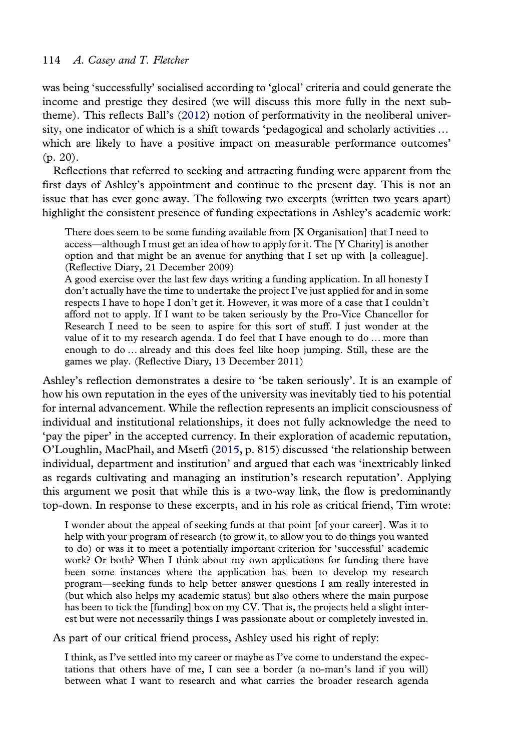<span id="page-9-0"></span>was being 'successfully' socialised according to 'glocal' criteria and could generate the income and prestige they desired (we will discuss this more fully in the next subtheme). This reflects Ball's ([2012\)](#page-15-0) notion of performativity in the neoliberal university, one indicator of which is a shift towards 'pedagogical and scholarly activities … which are likely to have a positive impact on measurable performance outcomes' (p. 20).

Reflections that referred to seeking and attracting funding were apparent from the first days of Ashley's appointment and continue to the present day. This is not an issue that has ever gone away. The following two excerpts (written two years apart) highlight the consistent presence of funding expectations in Ashley's academic work:

There does seem to be some funding available from [X Organisation] that I need to access—although I must get an idea of how to apply for it. The [Y Charity] is another option and that might be an avenue for anything that I set up with [a colleague]. (Reflective Diary, 21 December 2009)

A good exercise over the last few days writing a funding application. In all honesty I don't actually have the time to undertake the project I've just applied for and in some respects I have to hope I don't get it. However, it was more of a case that I couldn't afford not to apply. If I want to be taken seriously by the Pro-Vice Chancellor for Research I need to be seen to aspire for this sort of stuff. I just wonder at the value of it to my research agenda. I do feel that I have enough to do … more than enough to do … already and this does feel like hoop jumping. Still, these are the games we play. (Reflective Diary, 13 December 2011)

Ashley's reflection demonstrates a desire to 'be taken seriously'. It is an example of how his own reputation in the eyes of the university was inevitably tied to his potential for internal advancement. While the reflection represents an implicit consciousness of individual and institutional relationships, it does not fully acknowledge the need to 'pay the piper' in the accepted currency. In their exploration of academic reputation, O'Loughlin, MacPhail, and Msetfi [\(2015](#page-16-0), p. 815) discussed 'the relationship between individual, department and institution' and argued that each was 'inextricably linked as regards cultivating and managing an institution's research reputation'. Applying this argument we posit that while this is a two-way link, the flow is predominantly top-down. In response to these excerpts, and in his role as critical friend, Tim wrote:

I wonder about the appeal of seeking funds at that point [of your career]. Was it to help with your program of research (to grow it, to allow you to do things you wanted to do) or was it to meet a potentially important criterion for 'successful' academic work? Or both? When I think about my own applications for funding there have been some instances where the application has been to develop my research program—seeking funds to help better answer questions I am really interested in (but which also helps my academic status) but also others where the main purpose has been to tick the [funding] box on my CV. That is, the projects held a slight interest but were not necessarily things I was passionate about or completely invested in.

As part of our critical friend process, Ashley used his right of reply:

I think, as I've settled into my career or maybe as I've come to understand the expectations that others have of me, I can see a border (a no-man's land if you will) between what I want to research and what carries the broader research agenda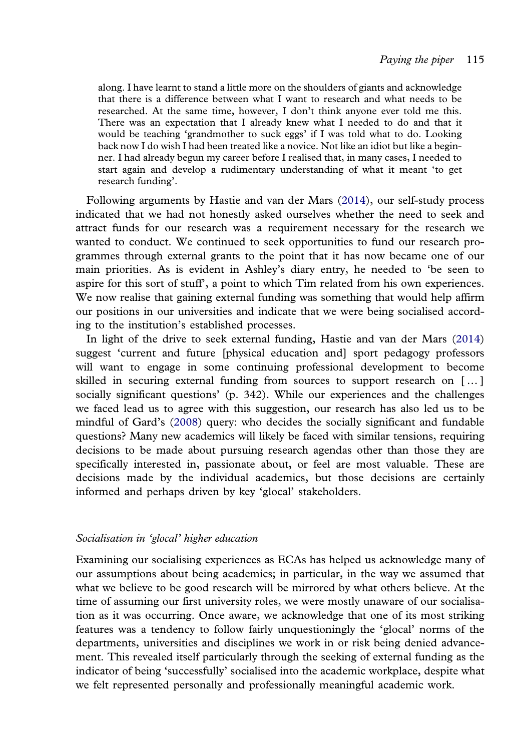<span id="page-10-0"></span>along. I have learnt to stand a little more on the shoulders of giants and acknowledge that there is a difference between what I want to research and what needs to be researched. At the same time, however, I don't think anyone ever told me this. There was an expectation that I already knew what I needed to do and that it would be teaching 'grandmother to suck eggs' if I was told what to do. Looking back now I do wish I had been treated like a novice. Not like an idiot but like a beginner. I had already begun my career before I realised that, in many cases, I needed to start again and develop a rudimentary understanding of what it meant 'to get research funding'.

Following arguments by Hastie and van der Mars ([2014](#page-15-0)), our self-study process indicated that we had not honestly asked ourselves whether the need to seek and attract funds for our research was a requirement necessary for the research we wanted to conduct. We continued to seek opportunities to fund our research programmes through external grants to the point that it has now became one of our main priorities. As is evident in Ashley's diary entry, he needed to 'be seen to aspire for this sort of stuff', a point to which Tim related from his own experiences. We now realise that gaining external funding was something that would help affirm our positions in our universities and indicate that we were being socialised according to the institution's established processes.

In light of the drive to seek external funding, Hastie and van der Mars ([2014\)](#page-15-0) suggest 'current and future [physical education and] sport pedagogy professors will want to engage in some continuing professional development to become skilled in securing external funding from sources to support research on [ … ] socially significant questions' (p. 342). While our experiences and the challenges we faced lead us to agree with this suggestion, our research has also led us to be mindful of Gard's ([2008](#page-15-0)) query: who decides the socially significant and fundable questions? Many new academics will likely be faced with similar tensions, requiring decisions to be made about pursuing research agendas other than those they are specifically interested in, passionate about, or feel are most valuable. These are decisions made by the individual academics, but those decisions are certainly informed and perhaps driven by key 'glocal' stakeholders.

# Socialisation in 'glocal' higher education

Examining our socialising experiences as ECAs has helped us acknowledge many of our assumptions about being academics; in particular, in the way we assumed that what we believe to be good research will be mirrored by what others believe. At the time of assuming our first university roles, we were mostly unaware of our socialisation as it was occurring. Once aware, we acknowledge that one of its most striking features was a tendency to follow fairly unquestioningly the 'glocal' norms of the departments, universities and disciplines we work in or risk being denied advancement. This revealed itself particularly through the seeking of external funding as the indicator of being 'successfully' socialised into the academic workplace, despite what we felt represented personally and professionally meaningful academic work.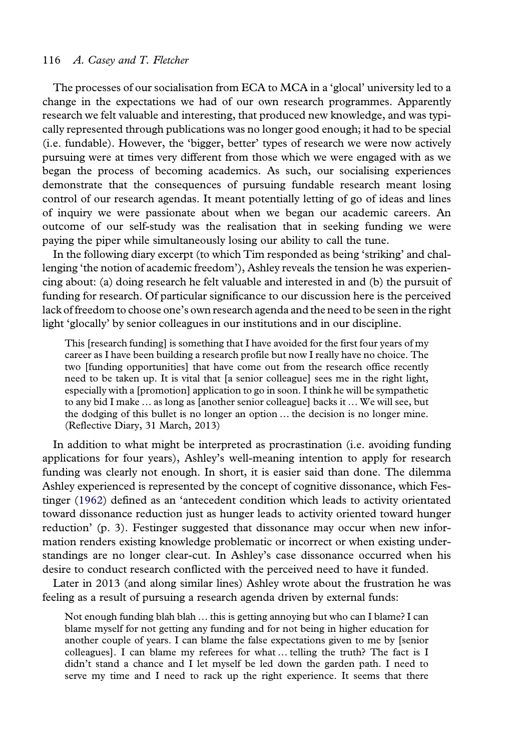<span id="page-11-0"></span>The processes of our socialisation from ECA to MCA in a 'glocal' university led to a change in the expectations we had of our own research programmes. Apparently research we felt valuable and interesting, that produced new knowledge, and was typically represented through publications was no longer good enough; it had to be special (i.e. fundable). However, the 'bigger, better' types of research we were now actively pursuing were at times very different from those which we were engaged with as we began the process of becoming academics. As such, our socialising experiences demonstrate that the consequences of pursuing fundable research meant losing control of our research agendas. It meant potentially letting of go of ideas and lines of inquiry we were passionate about when we began our academic careers. An outcome of our self-study was the realisation that in seeking funding we were paying the piper while simultaneously losing our ability to call the tune.

In the following diary excerpt (to which Tim responded as being 'striking' and challenging 'the notion of academic freedom'), Ashley reveals the tension he was experiencing about: (a) doing research he felt valuable and interested in and (b) the pursuit of funding for research. Of particular significance to our discussion here is the perceived lack of freedom to choose one's own research agenda and the need to be seen in the right light 'glocally' by senior colleagues in our institutions and in our discipline.

This [research funding] is something that I have avoided for the first four years of my career as I have been building a research profile but now I really have no choice. The two [funding opportunities] that have come out from the research office recently need to be taken up. It is vital that [a senior colleague] sees me in the right light, especially with a [promotion] application to go in soon. I think he will be sympathetic to any bid I make … as long as [another senior colleague] backs it … We will see, but the dodging of this bullet is no longer an option … the decision is no longer mine. (Reflective Diary, 31 March, 2013)

In addition to what might be interpreted as procrastination (i.e. avoiding funding applications for four years), Ashley's well-meaning intention to apply for research funding was clearly not enough. In short, it is easier said than done. The dilemma Ashley experienced is represented by the concept of cognitive dissonance, which Festinger ([1962](#page-15-0)) defined as an 'antecedent condition which leads to activity orientated toward dissonance reduction just as hunger leads to activity oriented toward hunger reduction' (p. 3). Festinger suggested that dissonance may occur when new information renders existing knowledge problematic or incorrect or when existing understandings are no longer clear-cut. In Ashley's case dissonance occurred when his desire to conduct research conflicted with the perceived need to have it funded.

Later in 2013 (and along similar lines) Ashley wrote about the frustration he was feeling as a result of pursuing a research agenda driven by external funds:

Not enough funding blah blah … this is getting annoying but who can I blame? I can blame myself for not getting any funding and for not being in higher education for another couple of years. I can blame the false expectations given to me by [senior colleagues]. I can blame my referees for what … telling the truth? The fact is I didn't stand a chance and I let myself be led down the garden path. I need to serve my time and I need to rack up the right experience. It seems that there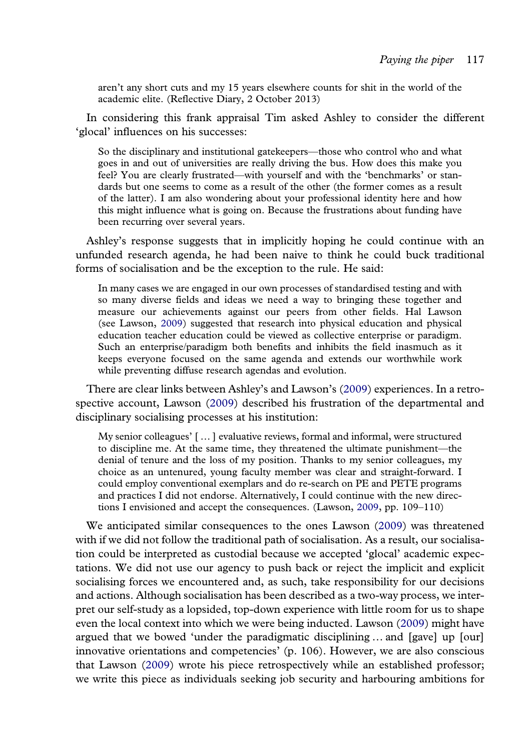aren't any short cuts and my 15 years elsewhere counts for shit in the world of the academic elite. (Reflective Diary, 2 October 2013)

In considering this frank appraisal Tim asked Ashley to consider the different 'glocal' influences on his successes:

So the disciplinary and institutional gatekeepers—those who control who and what goes in and out of universities are really driving the bus. How does this make you feel? You are clearly frustrated—with yourself and with the 'benchmarks' or standards but one seems to come as a result of the other (the former comes as a result of the latter). I am also wondering about your professional identity here and how this might influence what is going on. Because the frustrations about funding have been recurring over several years.

Ashley's response suggests that in implicitly hoping he could continue with an unfunded research agenda, he had been naive to think he could buck traditional forms of socialisation and be the exception to the rule. He said:

In many cases we are engaged in our own processes of standardised testing and with so many diverse fields and ideas we need a way to bringing these together and measure our achievements against our peers from other fields. Hal Lawson (see Lawson, [2009](#page-16-0)) suggested that research into physical education and physical education teacher education could be viewed as collective enterprise or paradigm. Such an enterprise/paradigm both benefits and inhibits the field inasmuch as it keeps everyone focused on the same agenda and extends our worthwhile work while preventing diffuse research agendas and evolution.

There are clear links between Ashley's and Lawson's [\(2009](#page-16-0)) experiences. In a retrospective account, Lawson [\(2009](#page-16-0)) described his frustration of the departmental and disciplinary socialising processes at his institution:

My senior colleagues' [ … ] evaluative reviews, formal and informal, were structured to discipline me. At the same time, they threatened the ultimate punishment—the denial of tenure and the loss of my position. Thanks to my senior colleagues, my choice as an untenured, young faculty member was clear and straight-forward. I could employ conventional exemplars and do re-search on PE and PETE programs and practices I did not endorse. Alternatively, I could continue with the new directions I envisioned and accept the consequences. (Lawson, [2009,](#page-16-0) pp. 109–110)

We anticipated similar consequences to the ones Lawson [\(2009\)](#page-16-0) was threatened with if we did not follow the traditional path of socialisation. As a result, our socialisation could be interpreted as custodial because we accepted 'glocal' academic expectations. We did not use our agency to push back or reject the implicit and explicit socialising forces we encountered and, as such, take responsibility for our decisions and actions. Although socialisation has been described as a two-way process, we interpret our self-study as a lopsided, top-down experience with little room for us to shape even the local context into which we were being inducted. Lawson ([2009\)](#page-16-0) might have argued that we bowed 'under the paradigmatic disciplining … and [gave] up [our] innovative orientations and competencies' (p. 106). However, we are also conscious that Lawson [\(2009\)](#page-16-0) wrote his piece retrospectively while an established professor; we write this piece as individuals seeking job security and harbouring ambitions for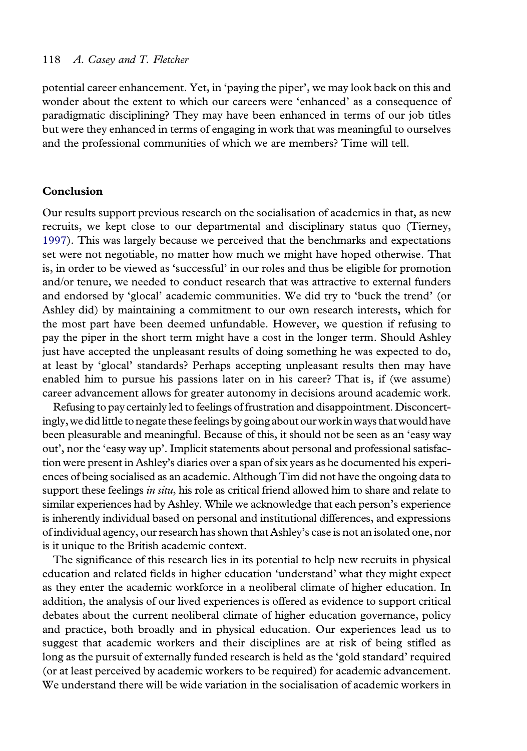potential career enhancement. Yet, in 'paying the piper', we may look back on this and wonder about the extent to which our careers were 'enhanced' as a consequence of paradigmatic disciplining? They may have been enhanced in terms of our job titles but were they enhanced in terms of engaging in work that was meaningful to ourselves and the professional communities of which we are members? Time will tell.

## Conclusion

Our results support previous research on the socialisation of academics in that, as new recruits, we kept close to our departmental and disciplinary status quo (Tierney, [1997](#page-16-0)). This was largely because we perceived that the benchmarks and expectations set were not negotiable, no matter how much we might have hoped otherwise. That is, in order to be viewed as 'successful' in our roles and thus be eligible for promotion and/or tenure, we needed to conduct research that was attractive to external funders and endorsed by 'glocal' academic communities. We did try to 'buck the trend' (or Ashley did) by maintaining a commitment to our own research interests, which for the most part have been deemed unfundable. However, we question if refusing to pay the piper in the short term might have a cost in the longer term. Should Ashley just have accepted the unpleasant results of doing something he was expected to do, at least by 'glocal' standards? Perhaps accepting unpleasant results then may have enabled him to pursue his passions later on in his career? That is, if (we assume) career advancement allows for greater autonomy in decisions around academic work.

Refusing to pay certainly led to feelings of frustration and disappointment. Disconcertingly, we did little to negate these feelings by going about our work in ways that would have been pleasurable and meaningful. Because of this, it should not be seen as an 'easy way out', nor the 'easy way up'. Implicit statements about personal and professional satisfaction were present in Ashley's diaries over a span of six years as he documented his experiences of being socialised as an academic. Although Tim did not have the ongoing data to support these feelings in situ, his role as critical friend allowed him to share and relate to similar experiences had by Ashley. While we acknowledge that each person's experience is inherently individual based on personal and institutional differences, and expressions of individual agency, our research has shown that Ashley's case is not an isolated one, nor is it unique to the British academic context.

The significance of this research lies in its potential to help new recruits in physical education and related fields in higher education 'understand' what they might expect as they enter the academic workforce in a neoliberal climate of higher education. In addition, the analysis of our lived experiences is offered as evidence to support critical debates about the current neoliberal climate of higher education governance, policy and practice, both broadly and in physical education. Our experiences lead us to suggest that academic workers and their disciplines are at risk of being stifled as long as the pursuit of externally funded research is held as the 'gold standard' required (or at least perceived by academic workers to be required) for academic advancement. We understand there will be wide variation in the socialisation of academic workers in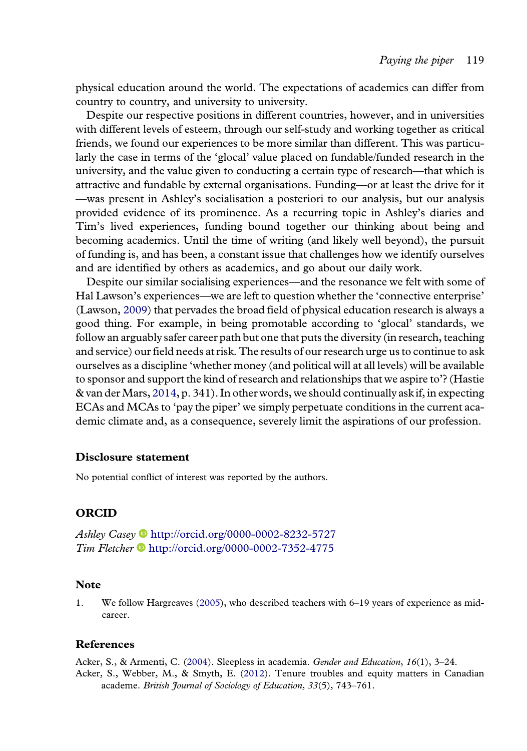<span id="page-14-0"></span>physical education around the world. The expectations of academics can differ from country to country, and university to university.

Despite our respective positions in different countries, however, and in universities with different levels of esteem, through our self-study and working together as critical friends, we found our experiences to be more similar than different. This was particularly the case in terms of the 'glocal' value placed on fundable/funded research in the university, and the value given to conducting a certain type of research—that which is attractive and fundable by external organisations. Funding—or at least the drive for it —was present in Ashley's socialisation a posteriori to our analysis, but our analysis provided evidence of its prominence. As a recurring topic in Ashley's diaries and Tim's lived experiences, funding bound together our thinking about being and becoming academics. Until the time of writing (and likely well beyond), the pursuit of funding is, and has been, a constant issue that challenges how we identify ourselves and are identified by others as academics, and go about our daily work.

Despite our similar socialising experiences—and the resonance we felt with some of Hal Lawson's experiences—we are left to question whether the 'connective enterprise' (Lawson, [2009\)](#page-16-0) that pervades the broad field of physical education research is always a good thing. For example, in being promotable according to 'glocal' standards, we follow an arguably safer career path but one that puts the diversity (in research, teaching and service) our field needs at risk. The results of our research urge us to continue to ask ourselves as a discipline 'whether money (and political will at all levels) will be available to sponsor and support the kind of research and relationships that we aspire to'? (Hastie & van der Mars,  $2014$ , p. 341). In other words, we should continually ask if, in expecting ECAs and MCAs to 'pay the piper' we simply perpetuate conditions in the current academic climate and, as a consequence, severely limit the aspirations of our profession.

## Disclosure statement

No potential conflict of interest was reported by the authors.

## ORCID

Ashley Casey • <http://orcid.org/0000-0002-8232-5727>  $Tim$  Fletcher  $\bullet$  <http://orcid.org/0000-0002-7352-4775>

# **Note**

1. We follow Hargreaves ([2005](#page-15-0)), who described teachers with 6–19 years of experience as midcareer.

## References

Acker, S., & Armenti, C. ([2004](#page-2-0)). Sleepless in academia. Gender and Education, 16(1), 3-24. Acker, S., Webber, M., & Smyth, E. [\(2012\)](#page-2-0). Tenure troubles and equity matters in Canadian academe. British Journal of Sociology of Education, 33(5), 743-761.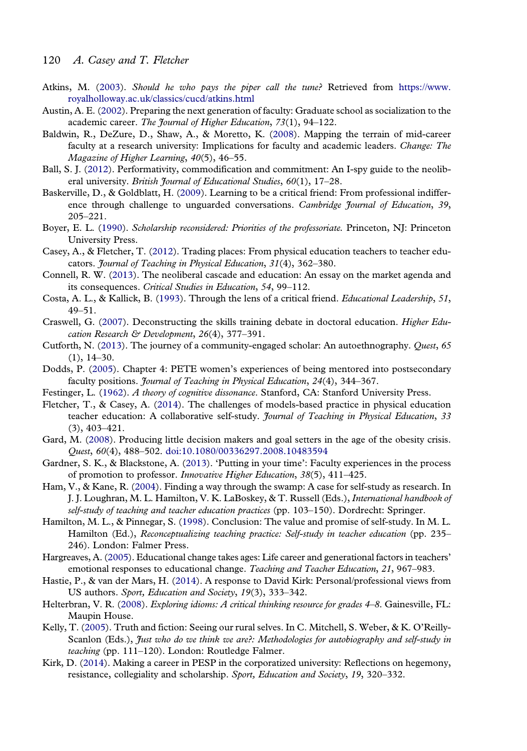- <span id="page-15-0"></span>Atkins, M. [\(2003](#page-1-0)). Should he who pays the piper call the tune? Retrieved from [https://www.](https://www.royalholloway.ac.uk/classics/cucd/atkins.html) [royalholloway.ac.uk/classics/cucd/atkins.html](https://www.royalholloway.ac.uk/classics/cucd/atkins.html)
- Austin, A. E. ([2002](#page-2-0)). Preparing the next generation of faculty: Graduate school as socialization to the academic career. The Journal of Higher Education, 73(1), 94–122.
- Baldwin, R., DeZure, D., Shaw, A., & Moretto, K. [\(2008\)](#page-3-0). Mapping the terrain of mid-career faculty at a research university: Implications for faculty and academic leaders. Change: The Magazine of Higher Learning, 40(5), 46–55.
- Ball, S. J. ([2012](#page-1-0)). Performativity, commodification and commitment: An I-spy guide to the neoliberal university. British Journal of Educational Studies, 60(1), 17-28.
- Baskerville, D., & Goldblatt, H. ([2009](#page-6-0)). Learning to be a critical friend: From professional indifference through challenge to unguarded conversations. Cambridge Journal of Education, 39, 205–221.
- Boyer, E. L. [\(1990](#page-4-0)). Scholarship reconsidered: Priorities of the professoriate. Princeton, NJ: Princeton University Press.
- Casey, A., & Fletcher, T. ([2012](#page-3-0)). Trading places: From physical education teachers to teacher educators. Journal of Teaching in Physical Education, 31(4), 362–380.
- Connell, R. W. [\(2013\)](#page-1-0). The neoliberal cascade and education: An essay on the market agenda and its consequences. Critical Studies in Education, 54, 99–112.
- Costa, A. L., & Kallick, B. ([1993](#page-6-0)). Through the lens of a critical friend. Educational Leadership, 51, 49–51.
- Craswell, G. [\(2007\)](#page-2-0). Deconstructing the skills training debate in doctoral education. Higher Education Research & Development, 26(4), 377-391.
- Cutforth, N. [\(2013\)](#page-3-0). The journey of a community-engaged scholar: An autoethnography. Quest, 65  $(1), 14-30.$
- Dodds, P. [\(2005\)](#page-3-0). Chapter 4: PETE women's experiences of being mentored into postsecondary faculty positions. *Journal of Teaching in Physical Education*, 24(4), 344-367.
- Festinger, L. ([1962](#page-11-0)). A theory of cognitive dissonance. Stanford, CA: Stanford University Press.
- Fletcher, T., & Casey, A. [\(2014\)](#page-3-0). The challenges of models-based practice in physical education teacher education: A collaborative self-study. Journal of Teaching in Physical Education, 33 (3), 403–421.
- Gard, M. [\(2008\)](#page-8-0). Producing little decision makers and goal setters in the age of the obesity crisis. Quest, 60(4), 488–502. [doi:10.1080/00336297.2008.10483594](http://dx.doi.org/10.1080/00336297.2008.10483594)
- Gardner, S. K., & Blackstone, A. ([2013](#page-2-0)). 'Putting in your time': Faculty experiences in the process of promotion to professor. Innovative Higher Education, 38(5), 411–425.
- Ham, V., & Kane, R. [\(2004\)](#page-5-0). Finding a way through the swamp: A case for self-study as research. In J. J. Loughran, M. L. Hamilton, V. K. LaBoskey, & T. Russell (Eds.), International handbook of self-study of teaching and teacher education practices (pp. 103–150). Dordrecht: Springer.
- Hamilton, M. L., & Pinnegar, S. [\(1998\)](#page-4-0). Conclusion: The value and promise of self-study. In M. L. Hamilton (Ed.), Reconceptualizing teaching practice: Self-study in teacher education (pp. 235– 246). London: Falmer Press.
- Hargreaves, A. ([2005](#page-14-0)). Educational change takes ages: Life career and generational factors in teachers' emotional responses to educational change. Teaching and Teacher Education, 21, 967–983.
- Hastie, P., & van der Mars, H. [\(2014\)](#page-10-0). A response to David Kirk: Personal/professional views from US authors. Sport, Education and Society, 19(3), 333–342.
- Helterbran, V. R. [\(2008\)](#page-1-0). Exploring idioms: A critical thinking resource for grades 4–8. Gainesville, FL: Maupin House.
- Kelly, T. [\(2005\)](#page-5-0). Truth and fiction: Seeing our rural selves. In C. Mitchell, S. Weber, & K. O'Reilly-Scanlon (Eds.), Just who do we think we are?: Methodologies for autobiography and self-study in teaching (pp. 111–120). London: Routledge Falmer.
- Kirk, D. ([2014](#page-3-0)). Making a career in PESP in the corporatized university: Reflections on hegemony, resistance, collegiality and scholarship. Sport, Education and Society, 19, 320–332.